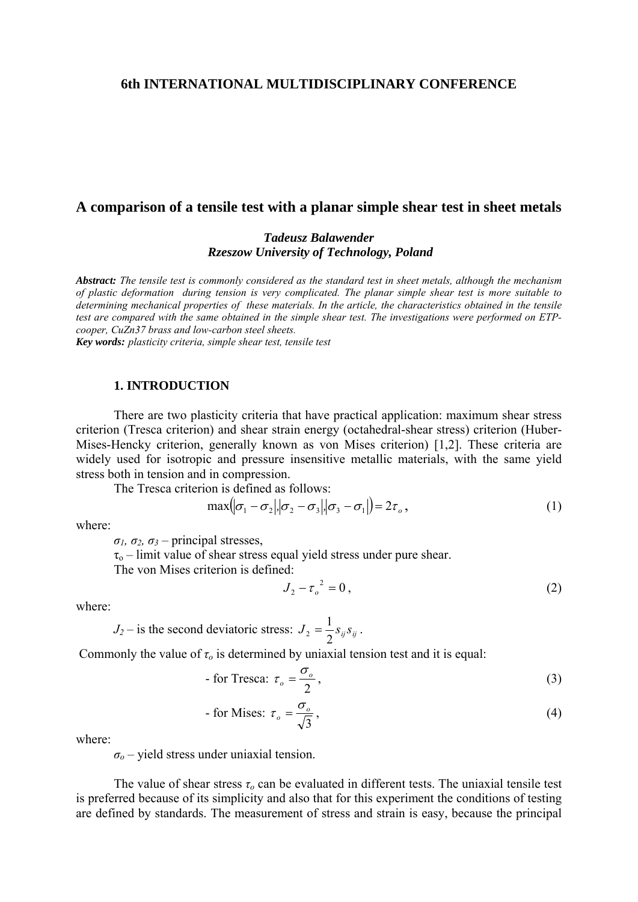### **6th INTERNATIONAL MULTIDISCIPLINARY CONFERENCE**

## **A comparison of a tensile test with a planar simple shear test in sheet metals**

## *Tadeusz Balawender Rzeszow University of Technology, Poland*

*Abstract: The tensile test is commonly considered as the standard test in sheet metals, although the mechanism of plastic deformation during tension is very complicated. The planar simple shear test is more suitable to determining mechanical properties of these materials. In the article, the characteristics obtained in the tensile test are compared with the same obtained in the simple shear test. The investigations were performed on ETPcooper, CuZn37 brass and low-carbon steel sheets.* 

*Key words: plasticity criteria, simple shear test, tensile test* 

### **1. INTRODUCTION**

 There are two plasticity criteria that have practical application: maximum shear stress criterion (Tresca criterion) and shear strain energy (octahedral-shear stress) criterion (Huber-Mises-Hencky criterion, generally known as von Mises criterion) [1,2]. These criteria are widely used for isotropic and pressure insensitive metallic materials, with the same yield stress both in tension and in compression.

The Tresca criterion is defined as follows:

$$
\max(|\sigma_1 - \sigma_2|, |\sigma_2 - \sigma_3|, |\sigma_3 - \sigma_1|) = 2\tau_o,
$$
\n(1)

where:

*σ1, σ2, σ<sup>3</sup>* – principal stresses,

 $\tau_{o}$  – limit value of shear stress equal yield stress under pure shear.

The von Mises criterion is defined:

$$
J_2 - \tau_o^2 = 0, \qquad (2)
$$

where:

 $J_2$  – is the second deviatoric stress:  $J_2 = \frac{1}{2} s_{ij} s_{ij}$  $S_2 = \frac{1}{2} S_{ij} S_{ij}.$ 

Commonly the value of  $\tau_o$  is determined by uniaxial tension test and it is equal:

For Tresca: 
$$
\tau_o = \frac{\sigma_o}{2}
$$
, (3)

For Mises: 
$$
\tau_o = \frac{\sigma_o}{\sqrt{3}}
$$
, (4)

where:

*σ<sup>o</sup>* – yield stress under uniaxial tension.

 The value of shear stress *τo* can be evaluated in different tests. The uniaxial tensile test is preferred because of its simplicity and also that for this experiment the conditions of testing are defined by standards. The measurement of stress and strain is easy, because the principal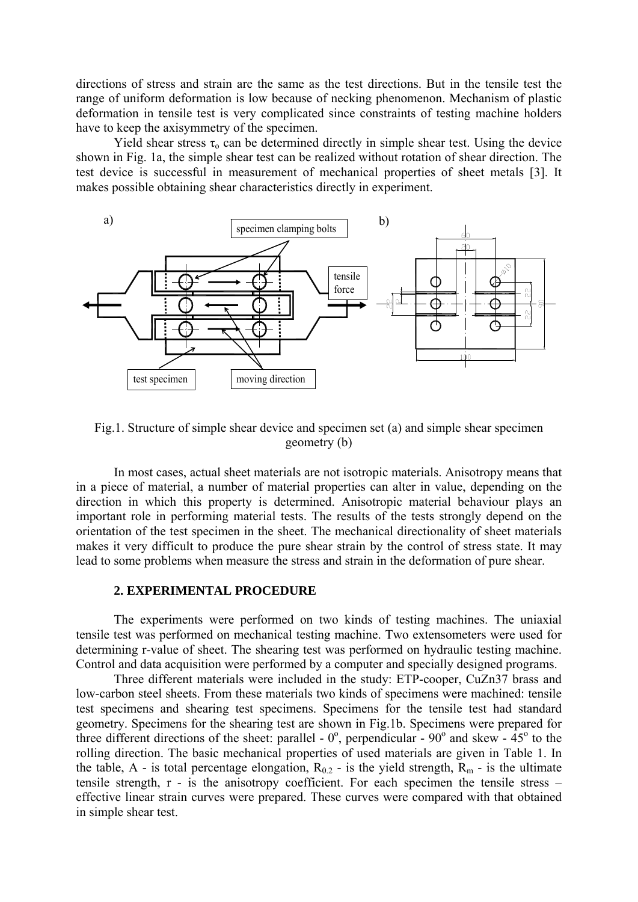directions of stress and strain are the same as the test directions. But in the tensile test the range of uniform deformation is low because of necking phenomenon. Mechanism of plastic deformation in tensile test is very complicated since constraints of testing machine holders have to keep the axisymmetry of the specimen.

Yield shear stress  $\tau_0$  can be determined directly in simple shear test. Using the device shown in Fig. 1a, the simple shear test can be realized without rotation of shear direction. The test device is successful in measurement of mechanical properties of sheet metals [3]. It makes possible obtaining shear characteristics directly in experiment.



Fig.1. Structure of simple shear device and specimen set (a) and simple shear specimen geometry (b)

 In most cases, actual sheet materials are not isotropic materials. Anisotropy means that in a piece of material, a number of material properties can alter in value, depending on the direction in which this property is determined. Anisotropic material behaviour plays an important role in performing material tests. The results of the tests strongly depend on the orientation of the test specimen in the sheet. The mechanical directionality of sheet materials makes it very difficult to produce the pure shear strain by the control of stress state. It may lead to some problems when measure the stress and strain in the deformation of pure shear.

#### **2. EXPERIMENTAL PROCEDURE**

 The experiments were performed on two kinds of testing machines. The uniaxial tensile test was performed on mechanical testing machine. Two extensometers were used for determining r-value of sheet. The shearing test was performed on hydraulic testing machine. Control and data acquisition were performed by a computer and specially designed programs.

Three different materials were included in the study: ETP-cooper, CuZn37 brass and low-carbon steel sheets. From these materials two kinds of specimens were machined: tensile test specimens and shearing test specimens. Specimens for the tensile test had standard geometry. Specimens for the shearing test are shown in Fig.1b. Specimens were prepared for three different directions of the sheet: parallel -  $0^{\circ}$ , perpendicular -  $90^{\circ}$  and skew -  $45^{\circ}$  to the rolling direction. The basic mechanical properties of used materials are given in Table 1. In the table, A - is total percentage elongation,  $R_{0.2}$  - is the yield strength,  $R_m$  - is the ultimate tensile strength,  $r - is$  the anisotropy coefficient. For each specimen the tensile stress – effective linear strain curves were prepared. These curves were compared with that obtained in simple shear test.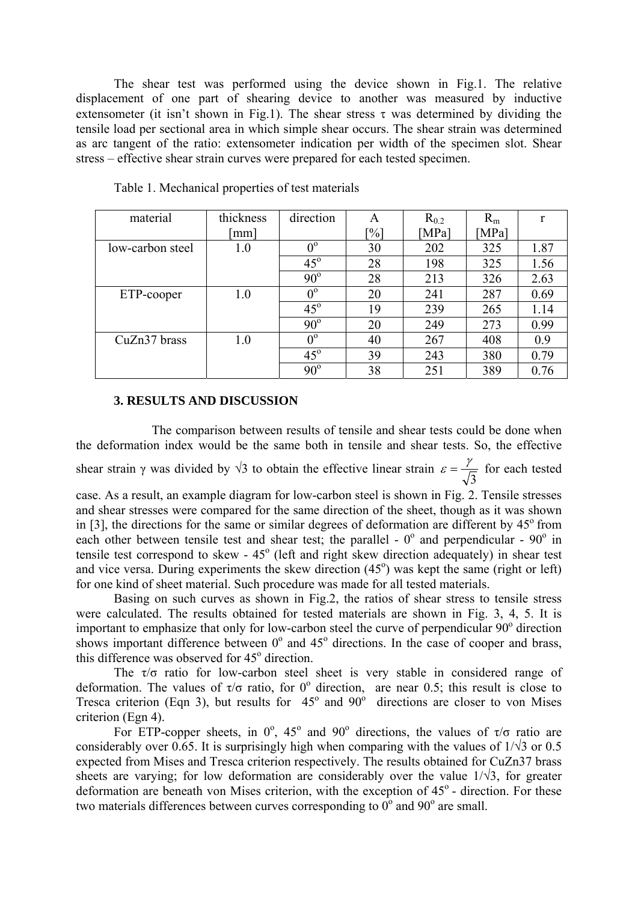The shear test was performed using the device shown in Fig.1. The relative displacement of one part of shearing device to another was measured by inductive extensometer (it isn't shown in Fig.1). The shear stress  $\tau$  was determined by dividing the tensile load per sectional area in which simple shear occurs. The shear strain was determined as arc tangent of the ratio: extensometer indication per width of the specimen slot. Shear stress – effective shear strain curves were prepared for each tested specimen.

| material         | thickness | direction   | A      | $R_{0.2}$ | $R_{m}$ | r    |
|------------------|-----------|-------------|--------|-----------|---------|------|
|                  | [mm]      |             | $[\%]$ | [MPa]     | [MPa]   |      |
| low-carbon steel | 1.0       | $0^{\circ}$ | 30     | 202       | 325     | 1.87 |
|                  |           | $45^\circ$  | 28     | 198       | 325     | 1.56 |
|                  |           | $90^\circ$  | 28     | 213       | 326     | 2.63 |
| ETP-cooper       | 1.0       | $0^{\circ}$ | 20     | 241       | 287     | 0.69 |
|                  |           | $45^\circ$  | 19     | 239       | 265     | 1.14 |
|                  |           | $90^\circ$  | 20     | 249       | 273     | 0.99 |
| CuZn37 brass     | 1.0       | $0^{\circ}$ | 40     | 267       | 408     | 0.9  |
|                  |           | $45^\circ$  | 39     | 243       | 380     | 0.79 |
|                  |           | $90^\circ$  | 38     | 251       | 389     | 0.76 |

Table 1. Mechanical properties of test materials

### **3. RESULTS AND DISCUSSION**

 The comparison between results of tensile and shear tests could be done when the deformation index would be the same both in tensile and shear tests. So, the effective shear strain  $\gamma$  was divided by  $\sqrt{3}$  to obtain the effective linear strain 3  $\varepsilon = \frac{\gamma}{\sqrt{n}}$  for each tested case. As a result, an example diagram for low-carbon steel is shown in Fig. 2. Tensile stresses and shear stresses were compared for the same direction of the sheet, though as it was shown

in [3], the directions for the same or similar degrees of deformation are different by  $45^{\circ}$  from each other between tensile test and shear test; the parallel -  $0^{\circ}$  and perpendicular -  $90^{\circ}$  in tensile test correspond to skew -  $45^{\circ}$  (left and right skew direction adequately) in shear test and vice versa. During experiments the skew direction  $(45^{\circ})$  was kept the same (right or left) for one kind of sheet material. Such procedure was made for all tested materials.

 Basing on such curves as shown in Fig.2, the ratios of shear stress to tensile stress were calculated. The results obtained for tested materials are shown in Fig. 3, 4, 5. It is important to emphasize that only for low-carbon steel the curve of perpendicular 90° direction shows important difference between  $0^{\circ}$  and  $45^{\circ}$  directions. In the case of cooper and brass, this difference was observed for  $45^{\circ}$  direction.

The  $\tau/\sigma$  ratio for low-carbon steel sheet is very stable in considered range of deformation. The values of  $\tau/\sigma$  ratio, for 0° direction, are near 0.5; this result is close to Tresca criterion (Eqn 3), but results for  $45^\circ$  and  $90^\circ$  directions are closer to von Mises criterion (Egn 4).

For ETP-copper sheets, in  $0^{\circ}$ ,  $45^{\circ}$  and  $90^{\circ}$  directions, the values of  $\tau/\sigma$  ratio are considerably over 0.65. It is surprisingly high when comparing with the values of  $1/\sqrt{3}$  or 0.5 expected from Mises and Tresca criterion respectively. The results obtained for CuZn37 brass sheets are varying; for low deformation are considerably over the value  $1/\sqrt{3}$ , for greater deformation are beneath von Mises criterion, with the exception of  $45^\circ$  - direction. For these two materials differences between curves corresponding to  $0^{\circ}$  and 90° are small.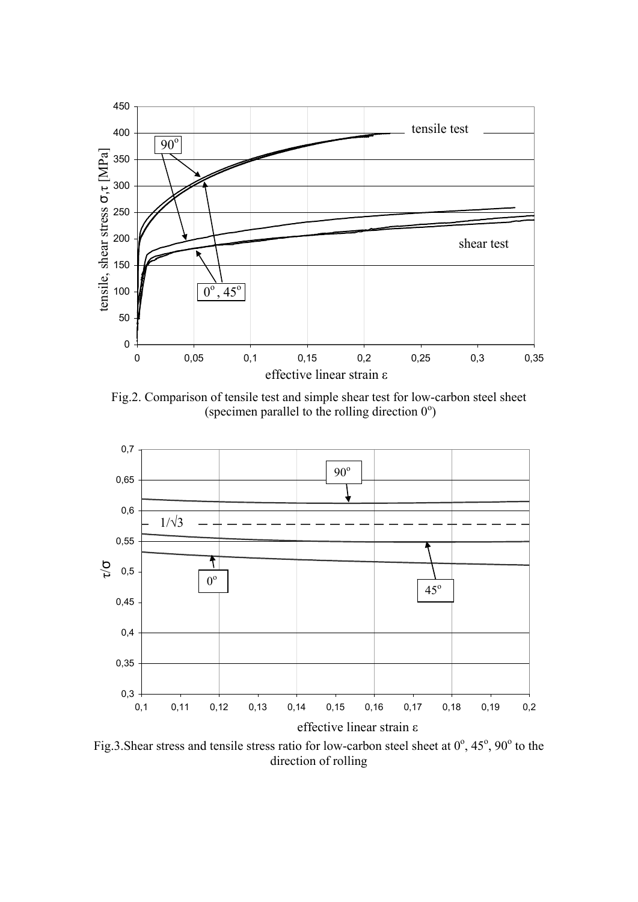

Fig.2. Comparison of tensile test and simple shear test for low-carbon steel sheet (specimen parallel to the rolling direction  $0^{\circ}$ )



Fig.3. Shear stress and tensile stress ratio for low-carbon steel sheet at  $0^{\circ}$ ,  $45^{\circ}$ ,  $90^{\circ}$  to the direction of rolling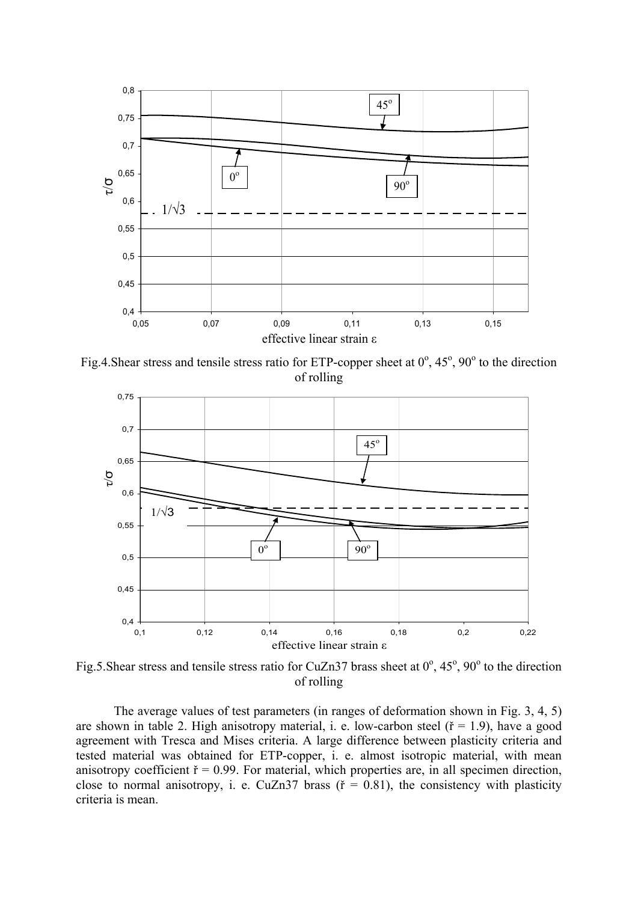

Fig.4. Shear stress and tensile stress ratio for ETP-copper sheet at  $0^\circ$ ,  $45^\circ$ ,  $90^\circ$  to the direction of rolling



Fig.5. Shear stress and tensile stress ratio for CuZn37 brass sheet at  $0^{\circ}$ ,  $45^{\circ}$ ,  $90^{\circ}$  to the direction of rolling

 The average values of test parameters (in ranges of deformation shown in Fig. 3, 4, 5) are shown in table 2. High anisotropy material, i. e. low-carbon steel ( $\tilde{r} = 1.9$ ), have a good agreement with Tresca and Mises criteria. A large difference between plasticity criteria and tested material was obtained for ETP-copper, i. e. almost isotropic material, with mean anisotropy coefficient  $\check{r} = 0.99$ . For material, which properties are, in all specimen direction, close to normal anisotropy, i. e. CuZn37 brass ( $\tilde{r} = 0.81$ ), the consistency with plasticity criteria is mean.